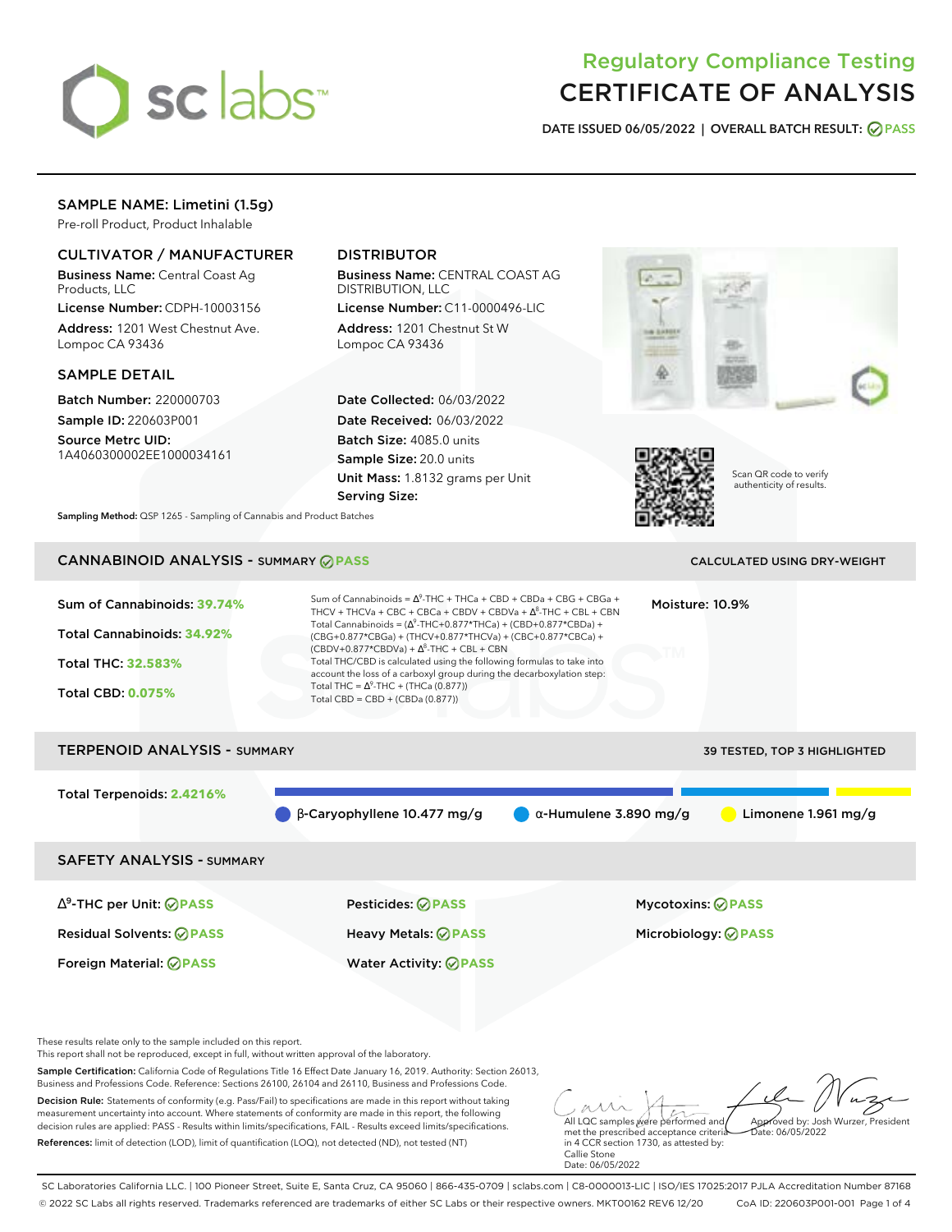

# Regulatory Compliance Testing CERTIFICATE OF ANALYSIS

**DATE ISSUED 06/05/2022 | OVERALL BATCH RESULT: PASS**

## SAMPLE NAME: Limetini (1.5g)

Pre-roll Product, Product Inhalable

### CULTIVATOR / MANUFACTURER

Business Name: Central Coast Ag Products, LLC

License Number: CDPH-10003156 Address: 1201 West Chestnut Ave. Lompoc CA 93436

SAMPLE DETAIL

Batch Number: 220000703 Sample ID: 220603P001

Source Metrc UID: 1A4060300002EE1000034161

# DISTRIBUTOR

Business Name: CENTRAL COAST AG DISTRIBUTION, LLC

License Number: C11-0000496-LIC Address: 1201 Chestnut St W Lompoc CA 93436

Date Collected: 06/03/2022 Date Received: 06/03/2022 Batch Size: 4085.0 units Sample Size: 20.0 units Unit Mass: 1.8132 grams per Unit Serving Size:





Scan QR code to verify authenticity of results.

**Sampling Method:** QSP 1265 - Sampling of Cannabis and Product Batches

# CANNABINOID ANALYSIS - SUMMARY **PASS** CALCULATED USING DRY-WEIGHT

| Sum of Cannabinoids: 39.74%<br>Total Cannabinoids: 34.92%<br>Total THC: 32.583%<br><b>Total CBD: 0.075%</b> | Sum of Cannabinoids = $\Delta^9$ -THC + THCa + CBD + CBDa + CBG + CBGa +<br>THCV + THCVa + CBC + CBCa + CBDV + CBDVa + $\Delta^8$ -THC + CBL + CBN<br>Total Cannabinoids = $(\Delta^9$ -THC+0.877*THCa) + (CBD+0.877*CBDa) +<br>(CBG+0.877*CBGa) + (THCV+0.877*THCVa) + (CBC+0.877*CBCa) +<br>$(CBDV+0.877*CBDVa) + \Delta^8$ -THC + CBL + CBN<br>Total THC/CBD is calculated using the following formulas to take into<br>account the loss of a carboxyl group during the decarboxylation step:<br>Total THC = $\Delta^9$ -THC + (THCa (0.877))<br>Total CBD = $CBD + (CBDa (0.877))$ |                               | Moisture: 10.9%              |                       |
|-------------------------------------------------------------------------------------------------------------|----------------------------------------------------------------------------------------------------------------------------------------------------------------------------------------------------------------------------------------------------------------------------------------------------------------------------------------------------------------------------------------------------------------------------------------------------------------------------------------------------------------------------------------------------------------------------------------|-------------------------------|------------------------------|-----------------------|
| <b>TERPENOID ANALYSIS - SUMMARY</b>                                                                         |                                                                                                                                                                                                                                                                                                                                                                                                                                                                                                                                                                                        |                               | 39 TESTED, TOP 3 HIGHLIGHTED |                       |
| Total Terpenoids: 2.4216%                                                                                   | $\beta$ -Caryophyllene 10.477 mg/g                                                                                                                                                                                                                                                                                                                                                                                                                                                                                                                                                     | $\alpha$ -Humulene 3.890 mg/g |                              | Limonene $1.961$ mg/g |
| <b>SAFETY ANALYSIS - SUMMARY</b>                                                                            |                                                                                                                                                                                                                                                                                                                                                                                                                                                                                                                                                                                        |                               |                              |                       |
| $\Delta^9$ -THC per Unit: $\oslash$ PASS                                                                    | Pesticides: ⊘PASS                                                                                                                                                                                                                                                                                                                                                                                                                                                                                                                                                                      |                               | <b>Mycotoxins: ⊘PASS</b>     |                       |

Residual Solvents: **PASS** Heavy Metals: **PASS** Microbiology: **PASS**

These results relate only to the sample included on this report.

This report shall not be reproduced, except in full, without written approval of the laboratory.

Sample Certification: California Code of Regulations Title 16 Effect Date January 16, 2019. Authority: Section 26013, Business and Professions Code. Reference: Sections 26100, 26104 and 26110, Business and Professions Code.

Decision Rule: Statements of conformity (e.g. Pass/Fail) to specifications are made in this report without taking measurement uncertainty into account. Where statements of conformity are made in this report, the following decision rules are applied: PASS - Results within limits/specifications, FAIL - Results exceed limits/specifications. References: limit of detection (LOD), limit of quantification (LOQ), not detected (ND), not tested (NT)

Foreign Material: **PASS** Water Activity: **PASS**

All LQC samples were performed and Approved by: Josh Wurzer, President Date: 06/05/2022

met the prescribed acceptance criteria in 4 CCR section 1730, as attested by: Callie Stone Date: 06/05/2022

SC Laboratories California LLC. | 100 Pioneer Street, Suite E, Santa Cruz, CA 95060 | 866-435-0709 | sclabs.com | C8-0000013-LIC | ISO/IES 17025:2017 PJLA Accreditation Number 87168 © 2022 SC Labs all rights reserved. Trademarks referenced are trademarks of either SC Labs or their respective owners. MKT00162 REV6 12/20 CoA ID: 220603P001-001 Page 1 of 4